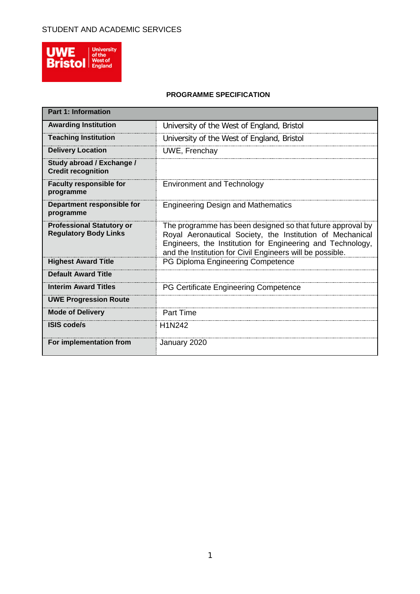

### **PROGRAMME SPECIFICATION**

| <b>Part 1: Information</b>                                       |                                                                                                                                                                                                                                                    |
|------------------------------------------------------------------|----------------------------------------------------------------------------------------------------------------------------------------------------------------------------------------------------------------------------------------------------|
| <b>Awarding Institution</b>                                      | University of the West of England, Bristol                                                                                                                                                                                                         |
| <b>Teaching Institution</b>                                      | University of the West of England, Bristol                                                                                                                                                                                                         |
| <b>Delivery Location</b>                                         | <b>UWE, Frenchay</b>                                                                                                                                                                                                                               |
| Study abroad / Exchange /<br><b>Credit recognition</b>           |                                                                                                                                                                                                                                                    |
| <b>Faculty responsible for</b><br>programme                      | <b>Environment and Technology</b>                                                                                                                                                                                                                  |
| Department responsible for<br>programme                          | <b>Engineering Design and Mathematics</b>                                                                                                                                                                                                          |
| <b>Professional Statutory or</b><br><b>Regulatory Body Links</b> | The programme has been designed so that future approval by<br>Royal Aeronautical Society, the Institution of Mechanical<br>Engineers, the Institution for Engineering and Technology,<br>and the Institution for Civil Engineers will be possible. |
| <b>Highest Award Title</b>                                       | PG Diploma Engineering Competence                                                                                                                                                                                                                  |
| <b>Default Award Title</b>                                       |                                                                                                                                                                                                                                                    |
| <b>Interim Award Titles</b>                                      | PG Certificate Engineering Competence                                                                                                                                                                                                              |
| <b>UWE Progression Route</b>                                     |                                                                                                                                                                                                                                                    |
| <b>Mode of Delivery</b>                                          | <b>Part Time</b>                                                                                                                                                                                                                                   |
| <b>ISIS code/s</b>                                               | H1N242                                                                                                                                                                                                                                             |
| For implementation from                                          | January 2020                                                                                                                                                                                                                                       |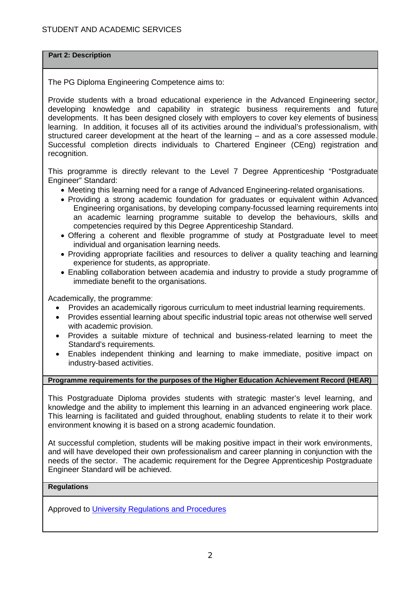**Part 2: Description** 

The PG Diploma Engineering Competence aims to:

Provide students with a broad educational experience in the Advanced Engineering sector, developing knowledge and capability in strategic business requirements and future developments. It has been designed closely with employers to cover key elements of business learning. In addition, it focuses all of its activities around the individual's professionalism, with structured career development at the heart of the learning – and as a core assessed module. Successful completion directs individuals to Chartered Engineer (CEng) registration and recognition.

This programme is directly relevant to the Level 7 Degree Apprenticeship "Postgraduate Engineer" Standard:

- Meeting this learning need for a range of Advanced Engineering-related organisations.
- Providing a strong academic foundation for graduates or equivalent within Advanced Engineering organisations, by developing company-focussed learning requirements into an academic learning programme suitable to develop the behaviours, skills and competencies required by this Degree Apprenticeship Standard.
- Offering a coherent and flexible programme of study at Postgraduate level to meet individual and organisation learning needs.
- Providing appropriate facilities and resources to deliver a quality teaching and learning experience for students, as appropriate.
- Enabling collaboration between academia and industry to provide a study programme of immediate benefit to the organisations.

Academically, the programme:

- Provides an academically rigorous curriculum to meet industrial learning requirements.
- Provides essential learning about specific industrial topic areas not otherwise well served with academic provision.
- Provides a suitable mixture of technical and business-related learning to meet the Standard's requirements.
- Enables independent thinking and learning to make immediate, positive impact on industry-based activities.

### **Programme requirements for the purposes of the Higher Education Achievement Record (HEAR)**

This Postgraduate Diploma provides students with strategic master's level learning, and knowledge and the ability to implement this learning in an advanced engineering work place. This learning is facilitated and guided throughout, enabling students to relate it to their work environment knowing it is based on a strong academic foundation.

At successful completion, students will be making positive impact in their work environments, and will have developed their own professionalism and career planning in conjunction with the needs of the sector. The academic requirement for the Degree Apprenticeship Postgraduate Engineer Standard will be achieved.

#### **Regulations**

Approved to [University Regulations and Procedures](http://www1.uwe.ac.uk/students/academicadvice/assessments/regulationsandprocedures.aspx)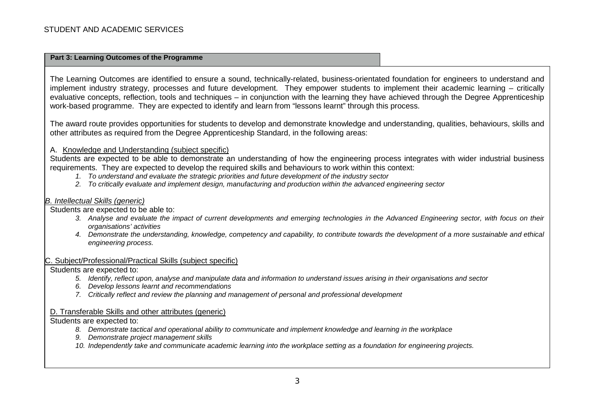#### **Part 3: Learning Outcomes of the Programme**

The Learning Outcomes are identified to ensure a sound, technically-related, business-orientated foundation for engineers to understand and implement industry strategy, processes and future development. They empower students to implement their academic learning – critically evaluative concepts, reflection, tools and techniques – in conjunction with the learning they have achieved through the Degree Apprenticeship work-based programme. They are expected to identify and learn from "lessons learnt" through this process.

The award route provides opportunities for students to develop and demonstrate knowledge and understanding, qualities, behaviours, skills and other attributes as required from the Degree Apprenticeship Standard, in the following areas:

#### A. Knowledge and Understanding (subject specific)

Students are expected to be able to demonstrate an understanding of how the engineering process integrates with wider industrial business requirements. They are expected to develop the required skills and behaviours to work within this context:

- *1. To understand and evaluate the strategic priorities and future development of the industry sector*
- *2. To critically evaluate and implement design, manufacturing and production within the advanced engineering sector*

#### *B. Intellectual Skills (generic)*

Students are expected to be able to:

- *3. Analyse and evaluate the impact of current developments and emerging technologies in the Advanced Engineering sector, with focus on their organisations' activities*
- *4. Demonstrate the understanding, knowledge, competency and capability, to contribute towards the development of a more sustainable and ethical engineering process.*

#### C. Subject/Professional/Practical Skills (subject specific)

Students are expected to:

- *5. Identify, reflect upon, analyse and manipulate data and information to understand issues arising in their organisations and sector*
- *6. Develop lessons learnt and recommendations*
- *7. Critically reflect and review the planning and management of personal and professional development*

#### D. Transferable Skills and other attributes (generic)

Students are expected to:

- *8. Demonstrate tactical and operational ability to communicate and implement knowledge and learning in the workplace*
- *9. Demonstrate project management skills*
- *10. Independently take and communicate academic learning into the workplace setting as a foundation for engineering projects.*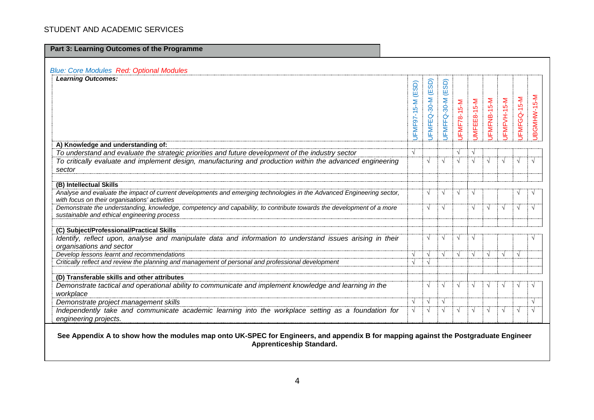| <b>Blue: Core Modules Red: Optional Modules</b><br><b>Learning Outcomes:</b>                                                                                        |             |                   |             |             |             |             |             |             |             |
|---------------------------------------------------------------------------------------------------------------------------------------------------------------------|-------------|-------------------|-------------|-------------|-------------|-------------|-------------|-------------|-------------|
|                                                                                                                                                                     | (ESD)       |                   | (ESD)       |             |             |             |             |             |             |
|                                                                                                                                                                     |             |                   |             |             |             |             |             |             |             |
|                                                                                                                                                                     |             |                   |             |             |             |             |             |             | JBGMHW-15-M |
|                                                                                                                                                                     |             |                   |             |             |             |             |             |             |             |
|                                                                                                                                                                     |             |                   |             |             |             |             |             |             |             |
|                                                                                                                                                                     | JFMF97-15-M | JFMFEQ-30-M (ESD) | JFMFFQ-30-M | JFMF78-15-M | JMFEE8-15-M | JFMFNB-15-M | JFMFVH-15-M | JFMFGQ-15-M |             |
|                                                                                                                                                                     |             |                   |             |             |             |             |             |             |             |
| A) Knowledge and understanding of:                                                                                                                                  |             |                   |             |             |             |             |             |             |             |
| To understand and evaluate the strategic priorities and future development of the industry sector                                                                   | V           |                   |             | $\sqrt{ }$  |             |             |             |             |             |
| To critically evaluate and implement design, manufacturing and production within the advanced engineering                                                           |             | $\sqrt{ }$        | √           | $\sqrt{ }$  |             | $\sqrt{ }$  |             | $\sqrt{ }$  |             |
| sector                                                                                                                                                              |             |                   |             |             |             |             |             |             |             |
| (B) Intellectual Skills                                                                                                                                             |             |                   |             |             |             |             |             |             |             |
| Analyse and evaluate the impact of current developments and emerging technologies in the Advanced Engineering sector,                                               |             | $\sqrt{ }$        | √           | $\sqrt{ }$  |             |             |             | ٦           |             |
| with focus on their organisations' activities                                                                                                                       |             |                   |             |             |             |             |             |             |             |
| Demonstrate the understanding, knowledge, competency and capability, to contribute towards the development of a more<br>sustainable and ethical engineering process |             | $\sqrt{ }$        | √           |             | $\sqrt{ }$  | $\sqrt{ }$  | V           | $\sqrt{ }$  | $\sqrt{ }$  |
|                                                                                                                                                                     |             |                   |             |             |             |             |             |             |             |
| (C) Subject/Professional/Practical Skills                                                                                                                           |             |                   |             |             |             |             |             |             |             |
| Identify, reflect upon, analyse and manipulate data and information to understand issues arising in their                                                           |             | $\sqrt{ }$        | √           | $\sqrt{ }$  | $\sqrt{ }$  |             |             |             |             |
| organisations and sector                                                                                                                                            |             |                   |             |             |             |             |             |             |             |
| Develop lessons learnt and recommendations                                                                                                                          | V           | $\sqrt{ }$        | $\sqrt{ }$  | $\sqrt{ }$  | $\sqrt{ }$  | $\sqrt{ }$  | $\sqrt{ }$  | $\sqrt{ }$  |             |
| Critically reflect and review the planning and management of personal and professional development                                                                  | V           | $\sqrt{ }$        |             |             |             |             |             |             |             |
| (D) Transferable skills and other attributes                                                                                                                        |             |                   |             |             |             |             |             |             |             |
| Demonstrate tactical and operational ability to communicate and implement knowledge and learning in the                                                             |             | $\sqrt{ }$        | √           | $\sqrt{ }$  | V           | $\sqrt{ }$  |             | N           |             |
| workplace                                                                                                                                                           |             |                   |             |             |             |             |             |             |             |
| Demonstrate project management skills                                                                                                                               | V           | $\sqrt{ }$        | √           |             |             |             |             |             | $\sqrt{ }$  |
| Independently take and communicate academic learning into the workplace setting as a foundation for                                                                 | √           | $\sqrt{ }$        |             | V           |             | $\sqrt{ }$  |             | $\sqrt{ }$  | $\sqrt{ }$  |
| engineering projects.                                                                                                                                               |             |                   |             |             |             |             |             |             |             |

**Apprenticeship Standard.**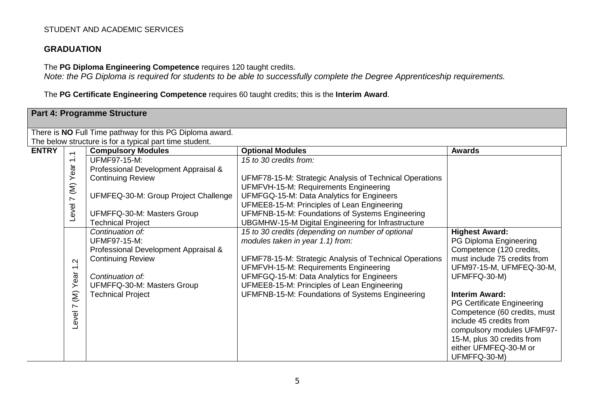# **GRADUATION**

The **PG Diploma Engineering Competence** requires 120 taught credits.

*Note: the PG Diploma is required for students to be able to successfully complete the Degree Apprenticeship requirements.*

The **PG Certificate Engineering Competence** requires 60 taught credits; this is the **Interim Award**.

|              |                                                                                                         | <b>Part 4: Programme Structure</b>                                                                                                                                                                                                                                                                                                                                                                                                                 |                                                                                                                                                                                                                                                                                                                                                                                                                                                                                                                                                                                                                                                     |                                                                                                                                                                                                                     |
|--------------|---------------------------------------------------------------------------------------------------------|----------------------------------------------------------------------------------------------------------------------------------------------------------------------------------------------------------------------------------------------------------------------------------------------------------------------------------------------------------------------------------------------------------------------------------------------------|-----------------------------------------------------------------------------------------------------------------------------------------------------------------------------------------------------------------------------------------------------------------------------------------------------------------------------------------------------------------------------------------------------------------------------------------------------------------------------------------------------------------------------------------------------------------------------------------------------------------------------------------------------|---------------------------------------------------------------------------------------------------------------------------------------------------------------------------------------------------------------------|
|              |                                                                                                         | There is NO Full Time pathway for this PG Diploma award.                                                                                                                                                                                                                                                                                                                                                                                           |                                                                                                                                                                                                                                                                                                                                                                                                                                                                                                                                                                                                                                                     |                                                                                                                                                                                                                     |
| <b>ENTRY</b> | $\overline{ }$<br>$\overline{\phantom{0}}$<br>Level 7 (M) Year<br>Ņ<br>$\overline{\phantom{0}}$<br>Year | The below structure is for a typical part time student.<br><b>Compulsory Modules</b><br><b>UFMF97-15-M:</b><br>Professional Development Appraisal &<br><b>Continuing Review</b><br>UFMFEQ-30-M: Group Project Challenge<br>UFMFFQ-30-M: Masters Group<br><b>Technical Project</b><br>Continuation of:<br><b>UFMF97-15-M:</b><br>Professional Development Appraisal &<br><b>Continuing Review</b><br>Continuation of:<br>UFMFFQ-30-M: Masters Group | <b>Optional Modules</b><br>15 to 30 credits from:<br>UFMF78-15-M: Strategic Analysis of Technical Operations<br>UFMFVH-15-M: Requirements Engineering<br>UFMFGQ-15-M: Data Analytics for Engineers<br>UFMEE8-15-M: Principles of Lean Engineering<br>UFMFNB-15-M: Foundations of Systems Engineering<br>UBGMHW-15-M Digital Engineering for Infrastructure<br>15 to 30 credits (depending on number of optional<br>modules taken in year 1.1) from:<br>UFMF78-15-M: Strategic Analysis of Technical Operations<br>UFMFVH-15-M: Requirements Engineering<br>UFMFGQ-15-M: Data Analytics for Engineers<br>UFMEE8-15-M: Principles of Lean Engineering | <b>Awards</b><br><b>Highest Award:</b><br>PG Diploma Engineering<br>Competence (120 credits,<br>must include 75 credits from<br>UFM97-15-M, UFMFEQ-30-M,<br>UFMFFQ-30-M)                                            |
|              | $\widehat{\epsilon}$<br>$\sim$<br>Level <sup>-</sup>                                                    | <b>Technical Project</b>                                                                                                                                                                                                                                                                                                                                                                                                                           | UFMFNB-15-M: Foundations of Systems Engineering                                                                                                                                                                                                                                                                                                                                                                                                                                                                                                                                                                                                     | <b>Interim Award:</b><br>PG Certificate Engineering<br>Competence (60 credits, must<br>include 45 credits from<br>compulsory modules UFMF97-<br>15-M, plus 30 credits from<br>either UFMFEQ-30-M or<br>UFMFFQ-30-M) |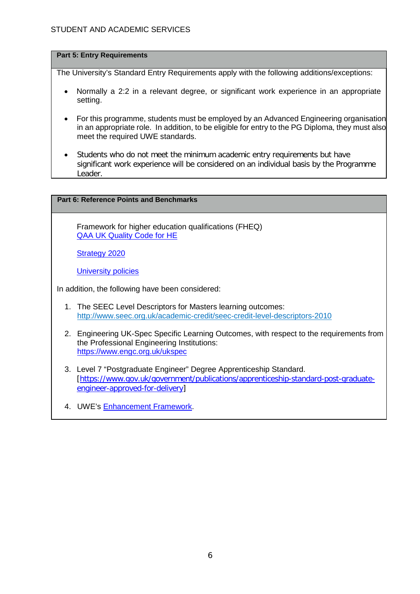### **Part 5: Entry Requirements**

The University's Standard Entry Requirements apply with the following additions/exceptions:

- Normally a 2:2 in a relevant degree, or significant work experience in an appropriate setting.
- For this programme, students must be employed by an Advanced Engineering organisation in an appropriate role. In addition, to be eligible for entry to the PG Diploma, they must also meet the required UWE standards.
- Students who do not meet the minimum academic entry requirements but have significant work experience will be considered on an individual basis by the Programme Leader.

### **Part 6: Reference Points and Benchmarks**

Framework for higher education qualifications (FHEQ) [QAA UK Quality Code for HE](http://www.qaa.ac.uk/assuringstandardsandquality/quality-code/Pages/default.aspx)

[Strategy 2020](http://www1.uwe.ac.uk/about/corporateinformation/strategy.aspx)

[University](http://www1.uwe.ac.uk/aboutus/policies) policies

In addition, the following have been considered:

- 1. The SEEC Level Descriptors for Masters learning outcomes: <http://www.seec.org.uk/academic-credit/seec-credit-level-descriptors-2010>
- 2. Engineering UK-Spec Specific Learning Outcomes, with respect to the requirements from the Professional Engineering Institutions: <https://www.engc.org.uk/ukspec>
- 3. Level 7 "Postgraduate Engineer" Degree Apprenticeship Standard. [\[https://www.gov.uk/government/publications/apprenticeship-standard-post-graduate](https://www.gov.uk/government/publications/apprenticeship-standard-post-graduate-engineer-approved-for-delivery)[engineer-approved-for-delivery\]](https://www.gov.uk/government/publications/apprenticeship-standard-post-graduate-engineer-approved-for-delivery)
- 4. UWE's [Enhancement Framework.](https://www1.uwe.ac.uk/about/departmentsandservices/professionalservices/academicservices/regulationsandquality/enhancementframework.aspx)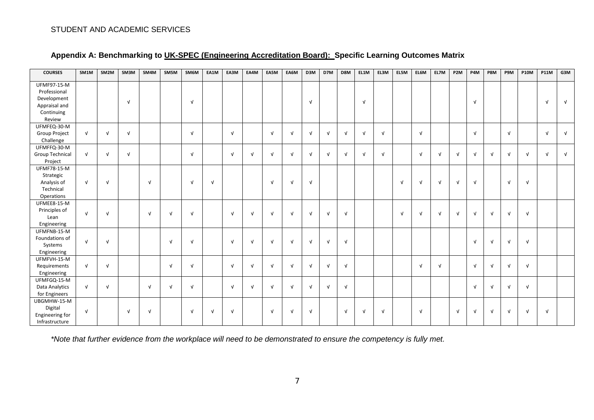| <b>COURSES</b>         | SM1M       | SM2M       | SM3M       | SM4M       | SM5M       | SM6M       | EA1M       | EA3M       | EA4M       | EA5M       | EA6M       | D3M        | D7M        | D8M        | EL1M       | EL3M       | EL5M       | EL6M       | EL7M       | P <sub>2</sub> M | P4M        | P8M        | P9M        | <b>P10M</b> | <b>P11M</b> | G3M        |
|------------------------|------------|------------|------------|------------|------------|------------|------------|------------|------------|------------|------------|------------|------------|------------|------------|------------|------------|------------|------------|------------------|------------|------------|------------|-------------|-------------|------------|
| UFMF97-15-M            |            |            |            |            |            |            |            |            |            |            |            |            |            |            |            |            |            |            |            |                  |            |            |            |             |             |            |
| Professional           |            |            |            |            |            |            |            |            |            |            |            |            |            |            |            |            |            |            |            |                  |            |            |            |             |             |            |
| Development            |            |            | $\sqrt{ }$ |            |            | $\sqrt{ }$ |            |            |            |            |            | $\sqrt{ }$ |            |            | $\sqrt{ }$ |            |            |            |            |                  | $\sqrt{ }$ |            |            |             | $\sqrt{ }$  | $\sqrt{ }$ |
| Appraisal and          |            |            |            |            |            |            |            |            |            |            |            |            |            |            |            |            |            |            |            |                  |            |            |            |             |             |            |
| Continuing             |            |            |            |            |            |            |            |            |            |            |            |            |            |            |            |            |            |            |            |                  |            |            |            |             |             |            |
| Review                 |            |            |            |            |            |            |            |            |            |            |            |            |            |            |            |            |            |            |            |                  |            |            |            |             |             |            |
| UFMFEQ-30-M            |            |            |            |            |            |            |            |            |            |            |            |            |            |            |            |            |            |            |            |                  |            |            |            |             |             |            |
| <b>Group Project</b>   | $\sqrt{ }$ | $\sqrt{ }$ | $\sqrt{ }$ |            |            | $\sqrt{ }$ |            | $\sqrt{ }$ |            | $\sqrt{ }$ | $\sqrt{ }$ | $\sqrt{ }$ | $\sqrt{ }$ | $\sqrt{ }$ | $\sqrt{ }$ | $\sqrt{ }$ |            | $\sqrt{ }$ |            |                  | $\sqrt{ }$ |            | $\sqrt{ }$ |             | $\sqrt{ }$  | $\sqrt{ }$ |
| Challenge              |            |            |            |            |            |            |            |            |            |            |            |            |            |            |            |            |            |            |            |                  |            |            |            |             |             |            |
| UFMFFQ-30-M            |            |            |            |            |            |            |            |            |            |            |            |            |            |            |            |            |            |            |            |                  |            |            |            |             |             |            |
| <b>Group Technical</b> | $\sqrt{ }$ | $\sqrt{ }$ | $\sqrt{ }$ |            |            | $\sqrt{ }$ |            | $\sqrt{ }$ | $\sqrt{ }$ | $\sqrt{ }$ | $\sqrt{ }$ | $\sqrt{ }$ | $\sqrt{ }$ | $\sqrt{ }$ | $\sqrt{ }$ | $\sqrt{ }$ |            | $\sqrt{ }$ | $\sqrt{ }$ | $\sqrt{ }$       | $\sqrt{ }$ | $\sqrt{ }$ | N          | $\sqrt{ }$  | $\sqrt{ }$  | $\sqrt{ }$ |
| Project                |            |            |            |            |            |            |            |            |            |            |            |            |            |            |            |            |            |            |            |                  |            |            |            |             |             |            |
| UFMF78-15-M            |            |            |            |            |            |            |            |            |            |            |            |            |            |            |            |            |            |            |            |                  |            |            |            |             |             |            |
| Strategic              |            |            |            |            |            |            |            |            |            |            |            |            |            |            |            |            |            |            |            |                  |            |            |            |             |             |            |
| Analysis of            | $\sqrt{ }$ | $\sqrt{ }$ |            | $\sqrt{ }$ |            | $\sqrt{ }$ | $\sqrt{ }$ |            |            | $\sqrt{ }$ | $\sqrt{ }$ | $\sqrt{ }$ |            |            |            |            | $\sqrt{ }$ | $\sqrt{ }$ | $\sqrt{ }$ | $\sqrt{ }$       | $\sqrt{ }$ |            | $\sqrt{ }$ | $\sqrt{ }$  |             |            |
| Technical              |            |            |            |            |            |            |            |            |            |            |            |            |            |            |            |            |            |            |            |                  |            |            |            |             |             |            |
| Operations             |            |            |            |            |            |            |            |            |            |            |            |            |            |            |            |            |            |            |            |                  |            |            |            |             |             |            |
| UFMEE8-15-M            |            |            |            |            |            |            |            |            |            |            |            |            |            |            |            |            |            |            |            |                  |            |            |            |             |             |            |
| Principles of          | $\sqrt{ }$ | $\sqrt{ }$ |            | $\sqrt{ }$ | $\sqrt{ }$ | $\sqrt{ }$ |            | $\sqrt{ }$ | $\sqrt{ }$ | $\sqrt{ }$ | $\sqrt{ }$ | $\sqrt{ }$ | $\sqrt{ }$ | $\sqrt{ }$ |            |            | $\sqrt{ }$ | $\sqrt{ }$ | $\sqrt{ }$ | $\sqrt{ }$       | $\sqrt{ }$ | $\sqrt{ }$ | $\sqrt{ }$ | $\sqrt{ }$  |             |            |
| Lean                   |            |            |            |            |            |            |            |            |            |            |            |            |            |            |            |            |            |            |            |                  |            |            |            |             |             |            |
| Engineering            |            |            |            |            |            |            |            |            |            |            |            |            |            |            |            |            |            |            |            |                  |            |            |            |             |             |            |
| UFMFNB-15-M            |            |            |            |            |            |            |            |            |            |            |            |            |            |            |            |            |            |            |            |                  |            |            |            |             |             |            |
| Foundations of         | $\sqrt{ }$ | $\sqrt{ }$ |            |            | $\sqrt{ }$ | $\sqrt{ }$ |            | $\sqrt{ }$ | $\sqrt{ }$ | $\sqrt{ }$ | $\sqrt{ }$ | $\sqrt{ }$ | $\sqrt{ }$ | $\sqrt{ }$ |            |            |            |            |            |                  | $\sqrt{ }$ | $\sqrt{ }$ | $\sqrt{ }$ | $\sqrt{ }$  |             |            |
| Systems                |            |            |            |            |            |            |            |            |            |            |            |            |            |            |            |            |            |            |            |                  |            |            |            |             |             |            |
| Engineering            |            |            |            |            |            |            |            |            |            |            |            |            |            |            |            |            |            |            |            |                  |            |            |            |             |             |            |
| UFMFVH-15-M            |            |            |            |            |            |            |            |            |            |            |            |            |            |            |            |            |            |            |            |                  |            |            |            |             |             |            |
| Requirements           | $\sqrt{ }$ | $\sqrt{ }$ |            |            | $\sqrt{ }$ | $\sqrt{ }$ |            | $\sqrt{ }$ | $\sqrt{ }$ | $\sqrt{ }$ | $\sqrt{ }$ | $\sqrt{ }$ | $\sqrt{ }$ | $\sqrt{ }$ |            |            |            | $\sqrt{ }$ | $\sqrt{ }$ |                  | $\sqrt{ }$ | $\sqrt{ }$ | $\sqrt{ }$ | $\sqrt{ }$  |             |            |
| Engineering            |            |            |            |            |            |            |            |            |            |            |            |            |            |            |            |            |            |            |            |                  |            |            |            |             |             |            |
| UFMFGQ-15-M            |            |            |            |            |            |            |            |            |            |            |            |            |            |            |            |            |            |            |            |                  |            |            |            |             |             |            |
| Data Analytics         | $\sqrt{ }$ | $\sqrt{ }$ |            | $\sqrt{ }$ | $\sqrt{ }$ | $\sqrt{ }$ |            | $\sqrt{ }$ | $\sqrt{ }$ | $\sqrt{ }$ | $\sqrt{ }$ | $\sqrt{ }$ | $\sqrt{ }$ | $\sqrt{ }$ |            |            |            |            |            |                  | $\sqrt{ }$ | $\sqrt{ }$ | V          | $\sqrt{ }$  |             |            |
| for Engineers          |            |            |            |            |            |            |            |            |            |            |            |            |            |            |            |            |            |            |            |                  |            |            |            |             |             |            |
| UBGMHW-15-M            |            |            |            |            |            |            |            |            |            |            |            |            |            |            |            |            |            |            |            |                  |            |            |            |             |             |            |
| Digital                | $\sqrt{ }$ |            | $\sqrt{ }$ | $\sqrt{ }$ |            | $\sqrt{ }$ | $\sqrt{ }$ | $\sqrt{ }$ |            | $\sqrt{ }$ | $\sqrt{ }$ | $\sqrt{ }$ |            | $\sqrt{ }$ | $\sqrt{ }$ | $\sqrt{ }$ |            | $\sqrt{ }$ |            | $\sqrt{ }$       | $\sqrt{ }$ | $\sqrt{ }$ | $\sqrt{ }$ | $\sqrt{ }$  | $\sqrt{ }$  |            |
| Engineering for        |            |            |            |            |            |            |            |            |            |            |            |            |            |            |            |            |            |            |            |                  |            |            |            |             |             |            |
| Infrastructure         |            |            |            |            |            |            |            |            |            |            |            |            |            |            |            |            |            |            |            |                  |            |            |            |             |             |            |

# **Appendix A: Benchmarking to UK-SPEC [\(Engineering Accreditation Board\):](https://www.engc.org.uk/engcdocuments/internet/website/Accreditation%20of%20Higher%20Education%20Programmes%20third%20edition%20collated%20learning%20outcomes%20(1).pdf) Specific Learning Outcomes Matrix**

*\*Note that further evidence from the workplace will need to be demonstrated to ensure the competency is fully met.*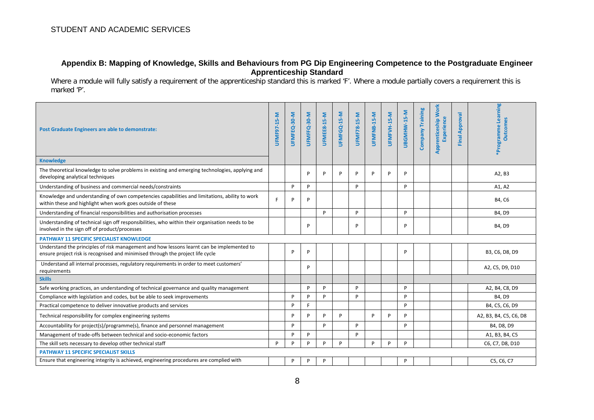### **Appendix B: Mapping of Knowledge, Skills and Behaviours from PG Dip Engineering Competence to the Postgraduate Engineer Apprenticeship Standard**

Where a module will fully satisfy a requirement of the apprenticeship standard this is marked 'F'. Where a module partially covers a requirement this is marked 'P'.

| Post Graduate Engineers are able to demonstrate:<br><b>Knowledge</b>                                                                                                        | UFMF97-15-M | UFMFEQ-30-M | UFMFFQ-30-M | UFMEE8-15-M | UFMFGQ-15-M | UFMF78-15-M | UFMFNB-15-M | UFMFVH-15-M | UBGMHW-15-M | Company Training | Apprenticeship Work<br><b>Experience</b> | Approval<br>Final | *Programme Learning<br><b>Outcomes</b> |
|-----------------------------------------------------------------------------------------------------------------------------------------------------------------------------|-------------|-------------|-------------|-------------|-------------|-------------|-------------|-------------|-------------|------------------|------------------------------------------|-------------------|----------------------------------------|
| The theoretical knowledge to solve problems in existing and emerging technologies, applying and<br>developing analytical techniques                                         |             |             | D           | P           | P           | P           | P           | P           | P           |                  |                                          |                   | A2, B3                                 |
| Understanding of business and commercial needs/constraints                                                                                                                  |             | P           | Þ           |             |             | P           |             |             | P           |                  |                                          |                   | A1, A2                                 |
| Knowledge and understanding of own competencies capabilities and limitations, ability to work<br>within these and highlight when work goes outside of these                 | F.          | P           | Þ           |             |             |             |             |             |             |                  |                                          |                   | B4, C6                                 |
| Understanding of financial responsibilities and authorisation processes                                                                                                     |             |             |             | P           |             | P           |             |             | P           |                  |                                          |                   | B4, D9                                 |
| Understanding of technical sign off responsibilities, who within their organisation needs to be<br>involved in the sign off of product/processes                            |             |             | P           |             |             | P           |             |             | P           |                  |                                          |                   | B4, D9                                 |
| <b>PATHWAY 11 SPECIFIC SPECIALIST KNOWLEDGE</b>                                                                                                                             |             |             |             |             |             |             |             |             |             |                  |                                          |                   |                                        |
| Understand the principles of risk management and how lessons learnt can be implemented to<br>ensure project risk is recognised and minimised through the project life cycle |             | P           | Þ           |             |             |             |             |             | P           |                  |                                          |                   | B3, C6, D8, D9                         |
| Understand all internal processes, regulatory requirements in order to meet customers'<br>requirements                                                                      |             |             | Þ           |             |             |             |             |             |             |                  |                                          |                   | A2, C5, D9, D10                        |
| <b>Skills</b>                                                                                                                                                               |             |             |             |             |             |             |             |             |             |                  |                                          |                   |                                        |
| Safe working practices, an understanding of technical governance and quality management                                                                                     |             |             | D           | P           |             | P           |             |             | P           |                  |                                          |                   | A2, B4, C8, D9                         |
| Compliance with legislation and codes, but be able to seek improvements                                                                                                     |             | P           | D           | P           |             | P           |             |             | P           |                  |                                          |                   | B4, D9                                 |
| Practical competence to deliver innovative products and services                                                                                                            |             | P           | F           |             |             |             |             |             | P           |                  |                                          |                   | B4, C5, C6, D9                         |
| Technical responsibility for complex engineering systems                                                                                                                    |             | P           | D           | P           | P           |             | P           | D           | P           |                  |                                          |                   | A2, B3, B4, C5, C6, D8                 |
| Accountability for project(s)/programme(s), finance and personnel management                                                                                                |             | P           |             | P           |             | P           |             |             | P           |                  |                                          |                   | B4, D8, D9                             |
| Management of trade-offs between technical and socio-economic factors                                                                                                       |             | P           | D           |             |             | P           |             |             |             |                  |                                          |                   | A1, B3, B4, C5                         |
| The skill sets necessary to develop other technical staff                                                                                                                   | P           | P           | Þ           | P           | P           |             | P           | P           | P           |                  |                                          |                   | C6, C7, D8, D10                        |
| <b>PATHWAY 11 SPECIFIC SPECIALIST SKILLS</b>                                                                                                                                |             |             |             |             |             |             |             |             |             |                  |                                          |                   |                                        |
| Ensure that engineering integrity is achieved, engineering procedures are complied with                                                                                     |             | P           | P           | P           |             |             |             |             | P           |                  |                                          |                   | C5, C6, C7                             |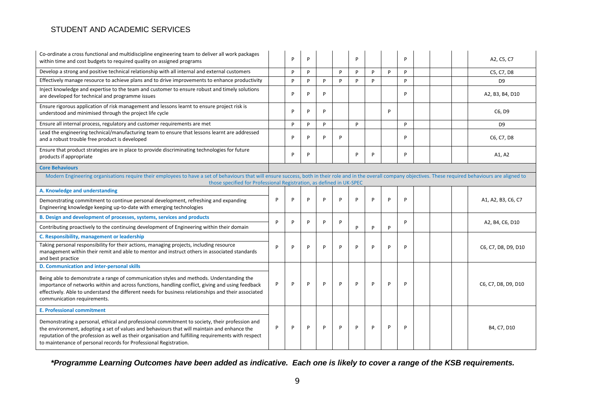| Co-ordinate a cross functional and multidiscipline engineering team to deliver all work packages<br>within time and cost budgets to required quality on assigned programs                                                                                                                                                                                                 |   | P | P |   |   | P |   |   | P |  |  | A2, C5, C7          |
|---------------------------------------------------------------------------------------------------------------------------------------------------------------------------------------------------------------------------------------------------------------------------------------------------------------------------------------------------------------------------|---|---|---|---|---|---|---|---|---|--|--|---------------------|
| Develop a strong and positive technical relationship with all internal and external customers                                                                                                                                                                                                                                                                             |   | P | P |   | P | P | P | P | P |  |  | C5, C7, D8          |
| Effectively manage resource to achieve plans and to drive improvements to enhance productivity                                                                                                                                                                                                                                                                            |   | P | P | P | P | P | P |   | P |  |  | D <sub>9</sub>      |
| Inject knowledge and expertise to the team and customer to ensure robust and timely solutions<br>are developed for technical and programme issues                                                                                                                                                                                                                         |   | P | P | P |   |   |   |   | P |  |  | A2, B3, B4, D10     |
| Ensure rigorous application of risk management and lessons learnt to ensure project risk is<br>understood and minimised through the project life cycle                                                                                                                                                                                                                    |   | P | P | P |   |   |   | P |   |  |  | C6, D9              |
| Ensure all internal process, regulatory and customer requirements are met                                                                                                                                                                                                                                                                                                 |   | P | P | P |   | P |   |   | P |  |  | D <sub>9</sub>      |
| Lead the engineering technical/manufacturing team to ensure that lessons learnt are addressed<br>and a robust trouble free product is developed                                                                                                                                                                                                                           |   | P | P | P | P |   |   |   | P |  |  | C6, C7, D8          |
| Ensure that product strategies are in place to provide discriminating technologies for future<br>products if appropriate                                                                                                                                                                                                                                                  |   | P | P |   |   | P | P |   | P |  |  | A1, A2              |
| <b>Core Behaviours</b>                                                                                                                                                                                                                                                                                                                                                    |   |   |   |   |   |   |   |   |   |  |  |                     |
| Modern Engineering organisations require their employees to have a set of behaviours that will ensure success, both in their role and in the overall company objectives. These required behaviours are aligned to<br>those specified for Professional Registration, as defined in UK-SPEC                                                                                 |   |   |   |   |   |   |   |   |   |  |  |                     |
| A. Knowledge and understanding                                                                                                                                                                                                                                                                                                                                            |   |   |   |   |   |   |   |   |   |  |  |                     |
| Demonstrating commitment to continue personal development, refreshing and expanding<br>Engineering knowledge keeping up-to-date with emerging technologies                                                                                                                                                                                                                | P | P | P | P | P | P | P | P | P |  |  | A1, A2, B3, C6, C7  |
| B. Design and development of processes, systems, services and products                                                                                                                                                                                                                                                                                                    |   |   | P |   |   |   |   |   |   |  |  |                     |
| Contributing proactively to the continuing development of Engineering within their domain                                                                                                                                                                                                                                                                                 | P | P |   | P | P | P | P | P | P |  |  | A2, B4, C6, D10     |
| C. Responsibility, management or leadership                                                                                                                                                                                                                                                                                                                               |   |   |   |   |   |   |   |   |   |  |  |                     |
| Taking personal responsibility for their actions, managing projects, including resource<br>management within their remit and able to mentor and instruct others in associated standards<br>and best practice                                                                                                                                                              | P | P | P | P | P | P | P | P | P |  |  | C6, C7, D8, D9, D10 |
| D. Communication and inter-personal skills                                                                                                                                                                                                                                                                                                                                |   |   |   |   |   |   |   |   |   |  |  |                     |
| Being able to demonstrate a range of communication styles and methods. Understanding the<br>importance of networks within and across functions, handling conflict, giving and using feedback<br>effectively. Able to understand the different needs for business relationships and their associated<br>communication requirements.                                        | P | P | P | P | P | P | P | P | Þ |  |  | C6, C7, D8, D9, D10 |
| <b>E. Professional commitment</b>                                                                                                                                                                                                                                                                                                                                         |   |   |   |   |   |   |   |   |   |  |  |                     |
| Demonstrating a personal, ethical and professional commitment to society, their profession and<br>the environment, adopting a set of values and behaviours that will maintain and enhance the<br>reputation of the profession as well as their organisation and fulfilling requirements with respect<br>to maintenance of personal records for Professional Registration. | P | P | P | P | P | P | P | P | P |  |  | B4, C7, D10         |

*\*Programme Learning Outcomes have been added as indicative. Each one is likely to cover a range of the KSB requirements.*